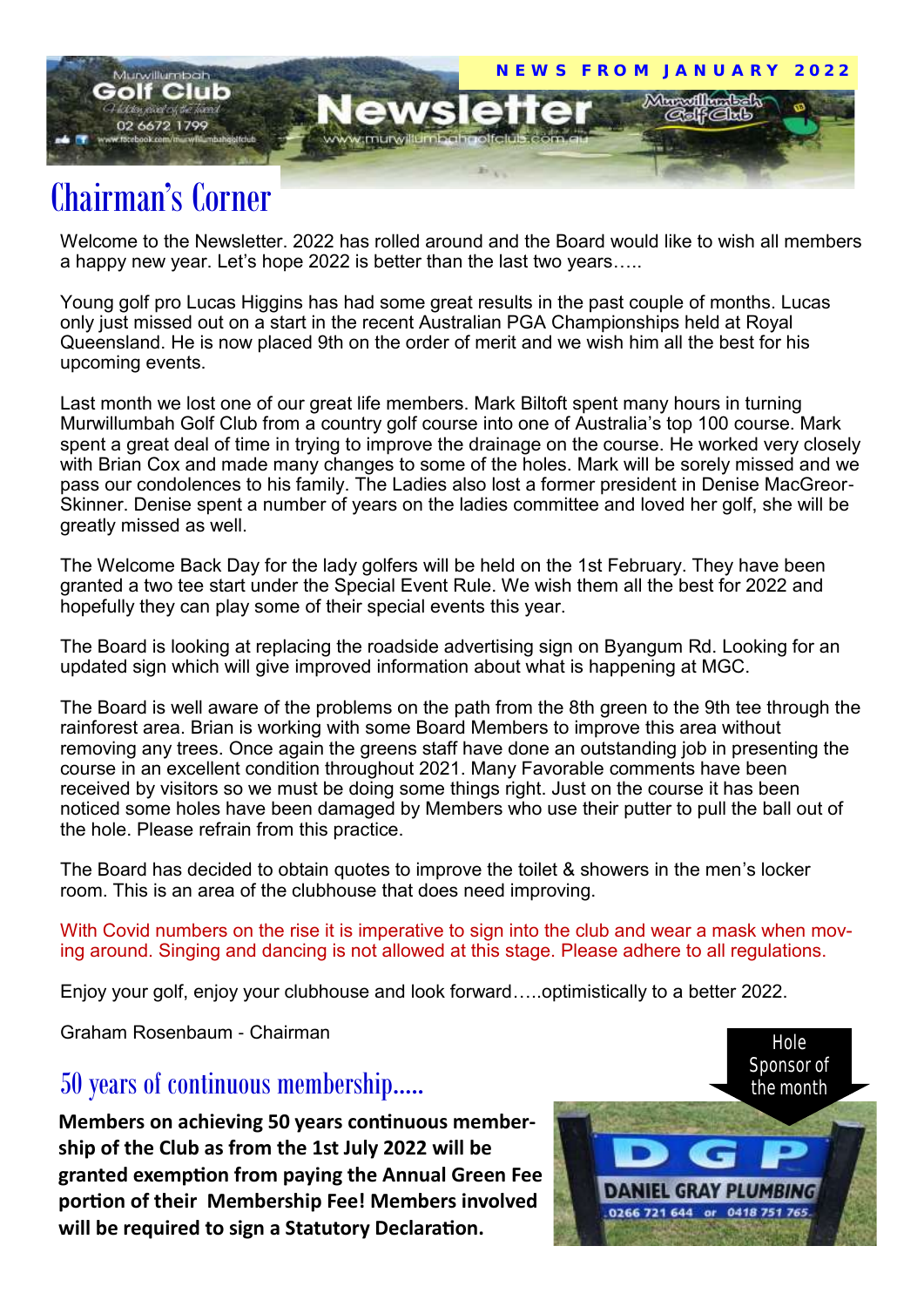

## Chairman's Corner

Welcome to the Newsletter. 2022 has rolled around and the Board would like to wish all members a happy new year. Let's hope 2022 is better than the last two years…..

Young golf pro Lucas Higgins has had some great results in the past couple of months. Lucas only just missed out on a start in the recent Australian PGA Championships held at Royal Queensland. He is now placed 9th on the order of merit and we wish him all the best for his upcoming events.

Last month we lost one of our great life members. Mark Biltoft spent many hours in turning Murwillumbah Golf Club from a country golf course into one of Australia's top 100 course. Mark spent a great deal of time in trying to improve the drainage on the course. He worked very closely with Brian Cox and made many changes to some of the holes. Mark will be sorely missed and we pass our condolences to his family. The Ladies also lost a former president in Denise MacGreor-Skinner. Denise spent a number of years on the ladies committee and loved her golf, she will be greatly missed as well.

The Welcome Back Day for the lady golfers will be held on the 1st February. They have been granted a two tee start under the Special Event Rule. We wish them all the best for 2022 and hopefully they can play some of their special events this year.

The Board is looking at replacing the roadside advertising sign on Byangum Rd. Looking for an updated sign which will give improved information about what is happening at MGC.

The Board is well aware of the problems on the path from the 8th green to the 9th tee through the rainforest area. Brian is working with some Board Members to improve this area without removing any trees. Once again the greens staff have done an outstanding job in presenting the course in an excellent condition throughout 2021. Many Favorable comments have been received by visitors so we must be doing some things right. Just on the course it has been noticed some holes have been damaged by Members who use their putter to pull the ball out of the hole. Please refrain from this practice.

The Board has decided to obtain quotes to improve the toilet & showers in the men's locker room. This is an area of the clubhouse that does need improving.

With Covid numbers on the rise it is imperative to sign into the club and wear a mask when moving around. Singing and dancing is not allowed at this stage. Please adhere to all regulations.

Enjoy your golf, enjoy your clubhouse and look forward…..optimistically to a better 2022.

Graham Rosenbaum - Chairman

### 50 years of continuous membership…..

**Members on achieving 50 years continuous membership of the Club as from the 1st July 2022 will be granted exemption from paying the Annual Green Fee portion of their Membership Fee! Members involved will be required to sign a Statutory Declaration.**

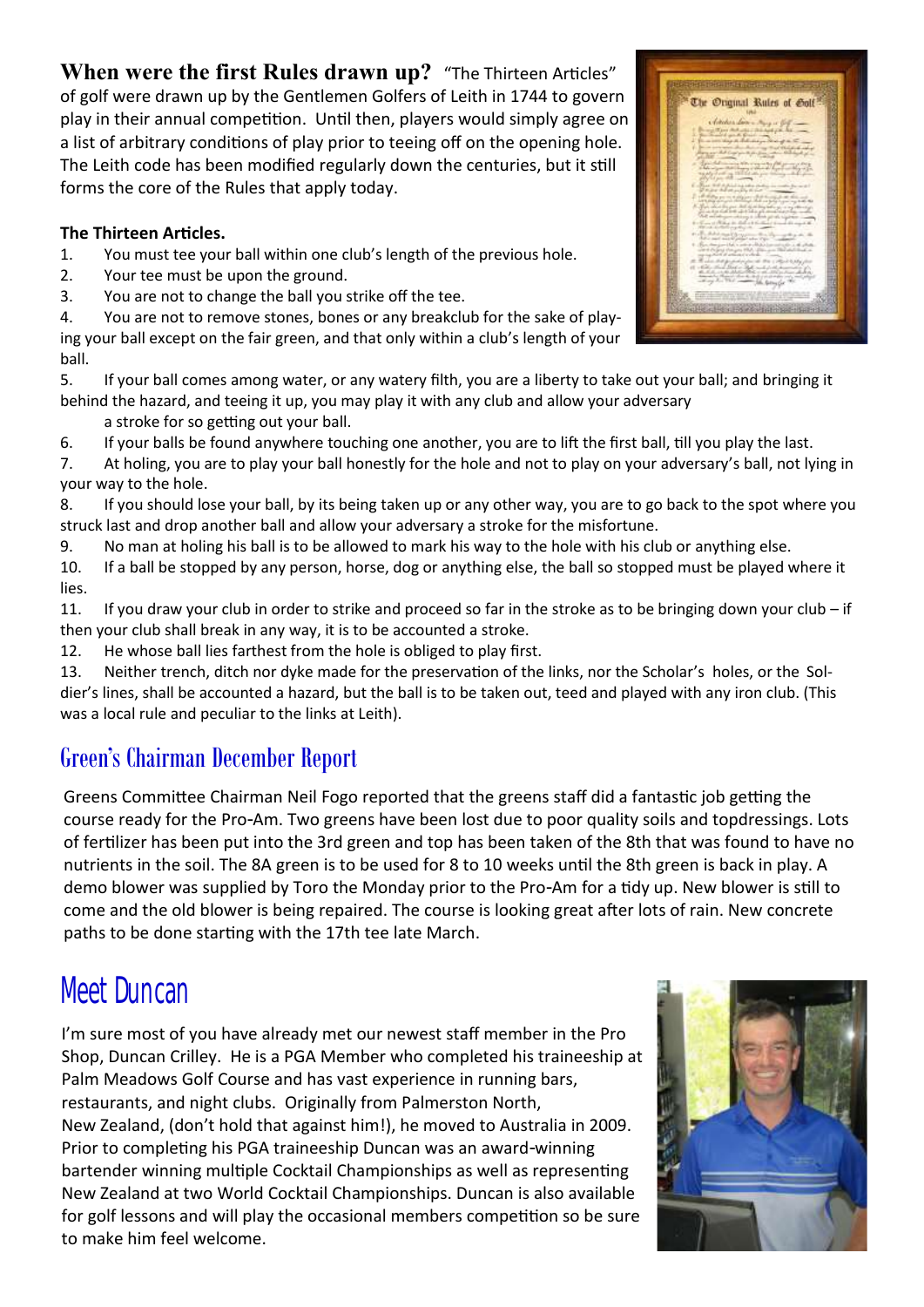### **When were the first Rules drawn up?** "The Thirteen Articles"

of golf were drawn up by the Gentlemen Golfers of Leith in 1744 to govern play in their annual competition. Until then, players would simply agree on a list of arbitrary conditions of play prior to teeing off on the opening hole. The Leith code has been modified regularly down the centuries, but it still forms the core of the Rules that apply today.

#### **The Thirteen Articles.**

- 1. You must tee your ball within one club's length of the previous hole.
- 2. Your tee must be upon the ground.
- 3. You are not to change the ball you strike off the tee.

4. You are not to remove stones, bones or any breakclub for the sake of playing your ball except on the fair green, and that only within a club's length of your ball.

5. If your ball comes among water, or any watery filth, you are a liberty to take out your ball; and bringing it behind the hazard, and teeing it up, you may play it with any club and allow your adversary

a stroke for so getting out your ball.

6. If your balls be found anywhere touching one another, you are to lift the first ball, till you play the last.

7. At holing, you are to play your ball honestly for the hole and not to play on your adversary's ball, not lying in your way to the hole.

8. If you should lose your ball, by its being taken up or any other way, you are to go back to the spot where you struck last and drop another ball and allow your adversary a stroke for the misfortune.

9. No man at holing his ball is to be allowed to mark his way to the hole with his club or anything else.

10. If a ball be stopped by any person, horse, dog or anything else, the ball so stopped must be played where it lies.

11. If you draw your club in order to strike and proceed so far in the stroke as to be bringing down your club – if then your club shall break in any way, it is to be accounted a stroke.

12. He whose ball lies farthest from the hole is obliged to play first.

13. Neither trench, ditch nor dyke made for the preservation of the links, nor the Scholar's holes, or the Soldier's lines, shall be accounted a hazard, but the ball is to be taken out, teed and played with any iron club. (This was a local rule and peculiar to the links at Leith).

### Green's Chairman December Report

Greens Committee Chairman Neil Fogo reported that the greens staff did a fantastic job getting the course ready for the Pro-Am. Two greens have been lost due to poor quality soils and topdressings. Lots of fertilizer has been put into the 3rd green and top has been taken of the 8th that was found to have no nutrients in the soil. The 8A green is to be used for 8 to 10 weeks until the 8th green is back in play. A demo blower was supplied by Toro the Monday prior to the Pro-Am for a tidy up. New blower is still to come and the old blower is being repaired. The course is looking great after lots of rain. New concrete paths to be done starting with the 17th tee late March.

## Meet Duncan

I'm sure most of you have already met our newest staff member in the Pro Shop, Duncan Crilley. He is a PGA Member who completed his traineeship at Palm Meadows Golf Course and has vast experience in running bars, restaurants, and night clubs. Originally from Palmerston North, New Zealand, (don't hold that against him!), he moved to Australia in 2009. Prior to completing his PGA traineeship Duncan was an award-winning bartender winning multiple Cocktail Championships as well as representing New Zealand at two World Cocktail Championships. Duncan is also available for golf lessons and will play the occasional members competition so be sure to make him feel welcome.



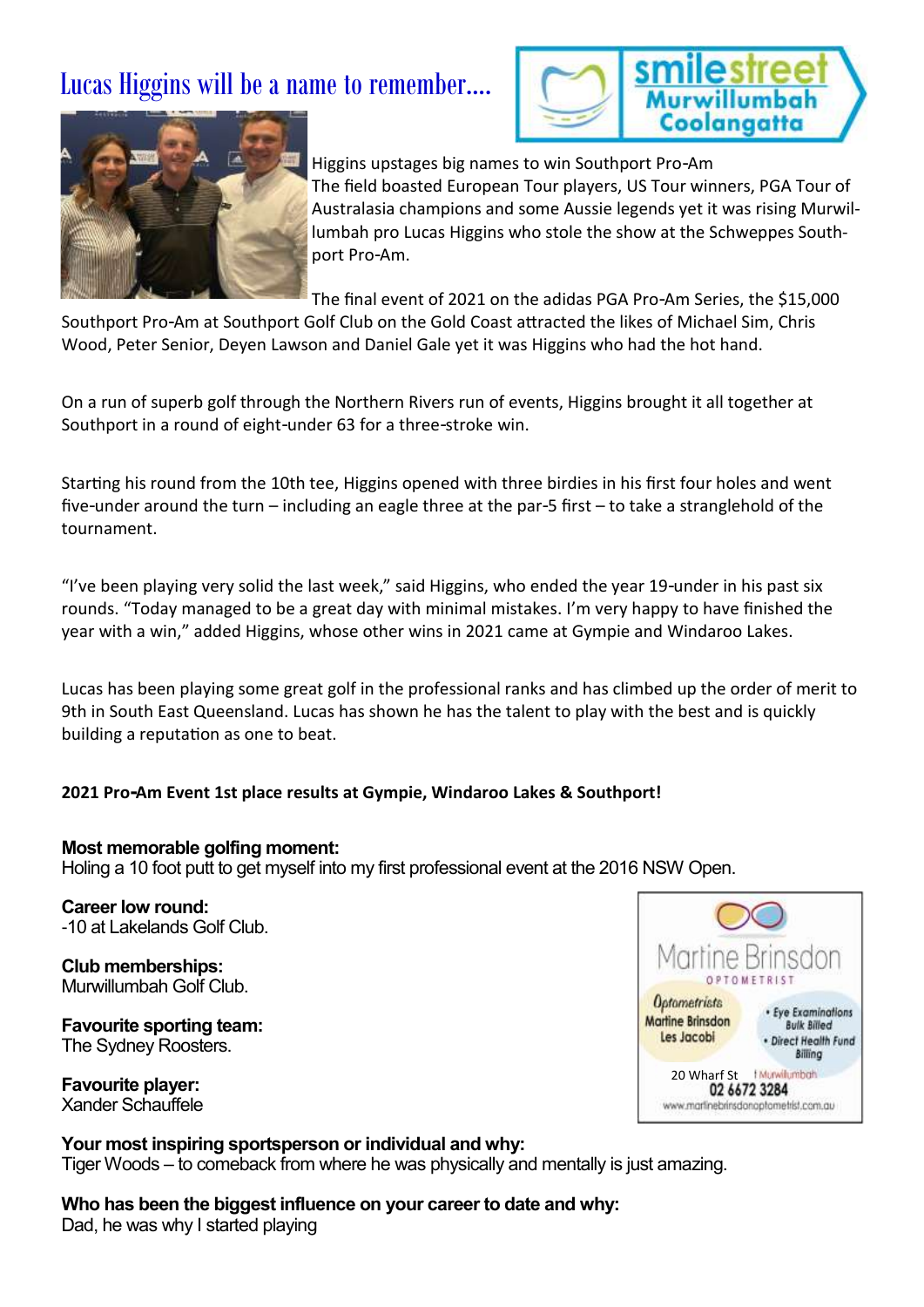### Lucas Higgins will be a name to remember….





Higgins upstages big names to win Southport Pro-Am The field boasted European Tour players, US Tour winners, PGA Tour of Australasia champions and some Aussie legends yet it was rising Murwillumbah pro Lucas Higgins who stole the show at the Schweppes Southport Pro-Am.

The final event of 2021 on the adidas PGA Pro-Am Series, the \$15,000

Southport Pro-Am at Southport Golf Club on the Gold Coast attracted the likes of Michael Sim, Chris Wood, Peter Senior, Deyen Lawson and Daniel Gale yet it was Higgins who had the hot hand.

On a run of superb golf through the Northern Rivers run of events, Higgins brought it all together at Southport in a round of eight-under 63 for a three-stroke win.

Starting his round from the 10th tee, Higgins opened with three birdies in his first four holes and went five-under around the turn – including an eagle three at the par-5 first – to take a stranglehold of the tournament.

"I've been playing very solid the last week," said Higgins, who ended the year 19-under in his past six rounds. "Today managed to be a great day with minimal mistakes. I'm very happy to have finished the year with a win," added Higgins, whose other wins in 2021 came at Gympie and Windaroo Lakes.

Lucas has been playing some great golf in the professional ranks and has climbed up the order of merit to 9th in South East Queensland. Lucas has shown he has the talent to play with the best and is quickly building a reputation as one to beat.

#### **2021 Pro-Am Event 1st place results at Gympie, Windaroo Lakes & Southport!**

#### **Most memorable golfing moment:**

Holing a 10 foot putt to get myself into my first professional event at the 2016 NSW Open.

**Career low round:** -10 at Lakelands Golf Club.

**Club memberships:** Murwillumbah Golf Club.

**Favourite sporting team:** The Sydney Roosters.

**Favourite player:** Xander Schauffele



#### **Your most inspiring sportsperson or individual and why:**

Tiger Woods – to comeback from where he was physically and mentally is just amazing.

**Who has been the biggest influence on your career to date and why:** Dad, he was why I started playing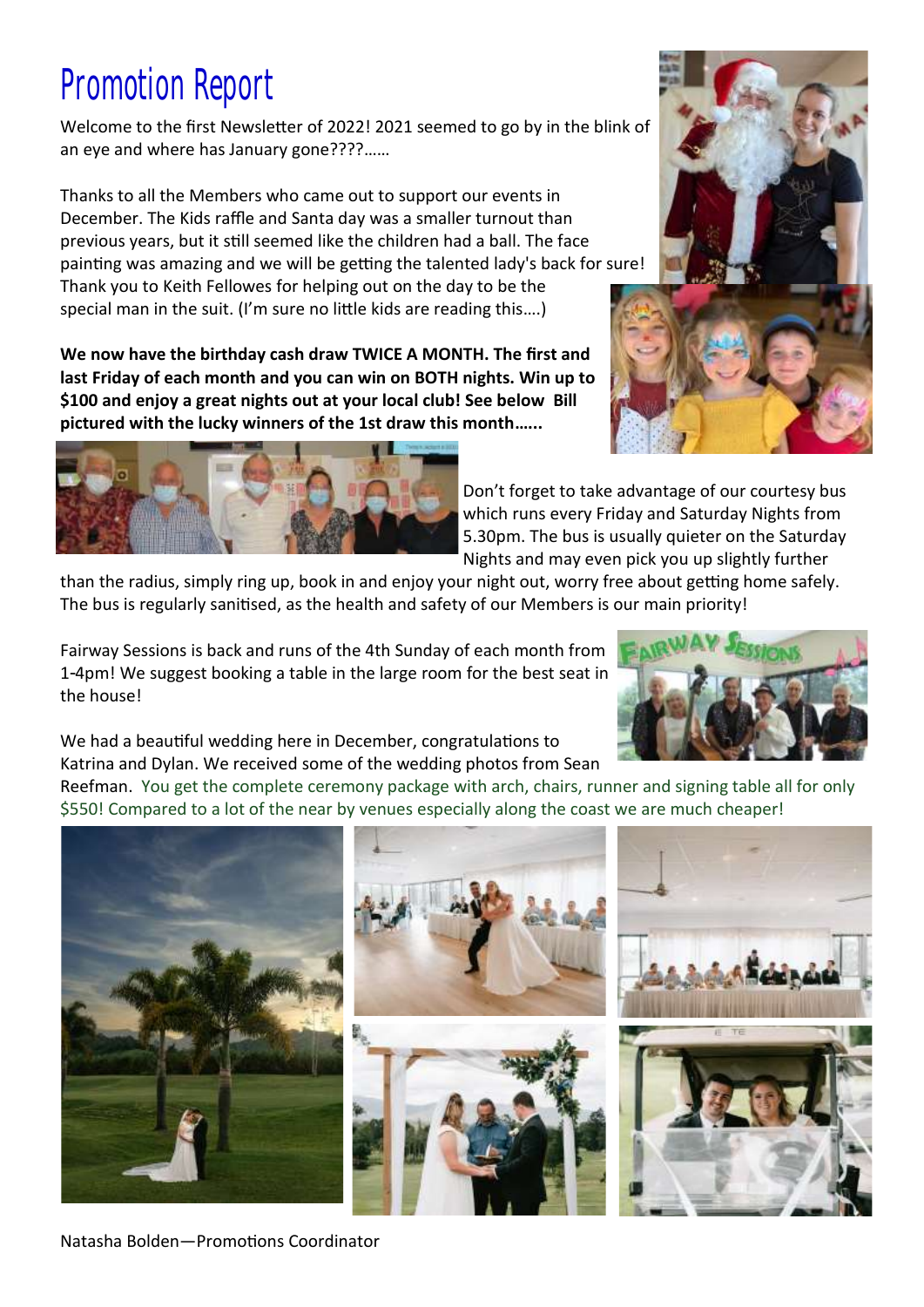# Promotion Report

Welcome to the first Newsletter of 2022! 2021 seemed to go by in the blink of an eye and where has January gone????……

Thanks to all the Members who came out to support our events in December. The Kids raffle and Santa day was a smaller turnout than previous years, but it still seemed like the children had a ball. The face painting was amazing and we will be getting the talented lady's back for sure! Thank you to Keith Fellowes for helping out on the day to be the special man in the suit. (I'm sure no little kids are reading this….)

**We now have the birthday cash draw TWICE A MONTH. The first and last Friday of each month and you can win on BOTH nights. Win up to \$100 and enjoy a great nights out at your local club! See below Bill pictured with the lucky winners of the 1st draw this month…...** 

> Don't forget to take advantage of our courtesy bus which runs every Friday and Saturday Nights from 5.30pm. The bus is usually quieter on the Saturday Nights and may even pick you up slightly further

than the radius, simply ring up, book in and enjoy your night out, worry free about getting home safely. The bus is regularly sanitised, as the health and safety of our Members is our main priority!

Fairway Sessions is back and runs of the 4th Sunday of each month from 1-4pm! We suggest booking a table in the large room for the best seat in the house!

We had a beautiful wedding here in December, congratulations to Katrina and Dylan. We received some of the wedding photos from Sean

Reefman. You get the complete ceremony package with arch, chairs, runner and signing table all for only \$550! Compared to a lot of the near by venues especially along the coast we are much cheaper!







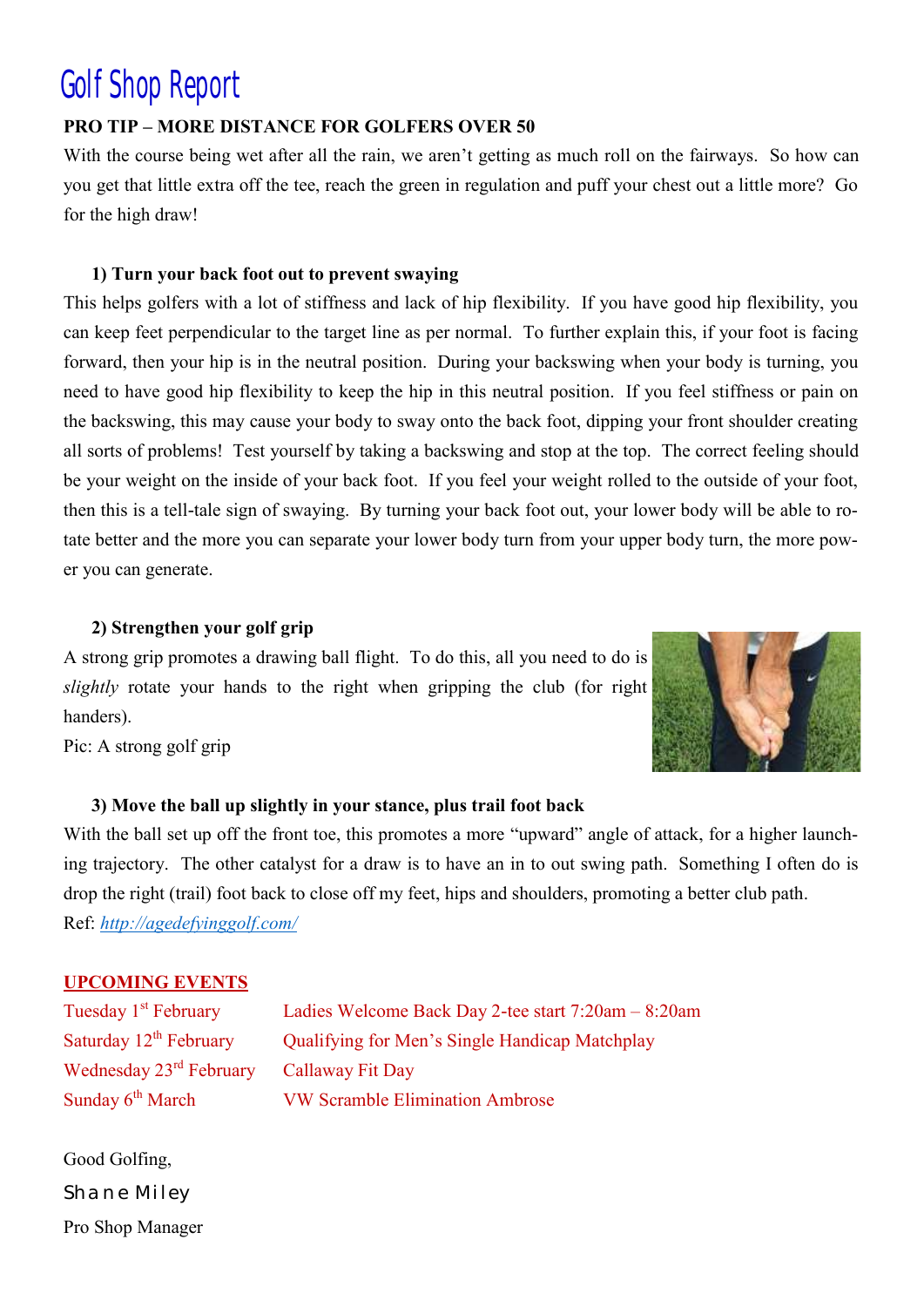## Golf Shop Report

#### **PRO TIP – MORE DISTANCE FOR GOLFERS OVER 50**

With the course being wet after all the rain, we aren't getting as much roll on the fairways. So how can you get that little extra off the tee, reach the green in regulation and puff your chest out a little more? Go for the high draw!

#### **1) Turn your back foot out to prevent swaying**

This helps golfers with a lot of stiffness and lack of hip flexibility. If you have good hip flexibility, you can keep feet perpendicular to the target line as per normal. To further explain this, if your foot is facing forward, then your hip is in the neutral position. During your backswing when your body is turning, you need to have good hip flexibility to keep the hip in this neutral position. If you feel stiffness or pain on the backswing, this may cause your body to sway onto the back foot, dipping your front shoulder creating all sorts of problems! Test yourself by taking a backswing and stop at the top. The correct feeling should be your weight on the inside of your back foot. If you feel your weight rolled to the outside of your foot, then this is a tell-tale sign of swaying. By turning your back foot out, your lower body will be able to rotate better and the more you can separate your lower body turn from your upper body turn, the more power you can generate.

#### **2) Strengthen your golf grip**

A strong grip promotes a drawing ball flight. To do this, all you need to do is *slightly* rotate your hands to the right when gripping the club (for right handers).



Pic: A strong golf grip

#### **3) Move the ball up slightly in your stance, plus trail foot back**

With the ball set up off the front toe, this promotes a more "upward" angle of attack, for a higher launching trajectory. The other catalyst for a draw is to have an in to out swing path. Something I often do is drop the right (trail) foot back to close off my feet, hips and shoulders, promoting a better club path. Ref: *<http://agedefyinggolf.com/>*

#### **UPCOMING EVENTS**

Wednesday 23<sup>rd</sup> February Callaway Fit Day

Tuesday 1st February Ladies Welcome Back Day 2-tee start 7:20am – 8:20am Saturday  $12<sup>th</sup>$  February Qualifying for Men's Single Handicap Matchplay Sunday 6<sup>th</sup> March VW Scramble Elimination Ambrose

Good Golfing, *Shane Miley*  Pro Shop Manager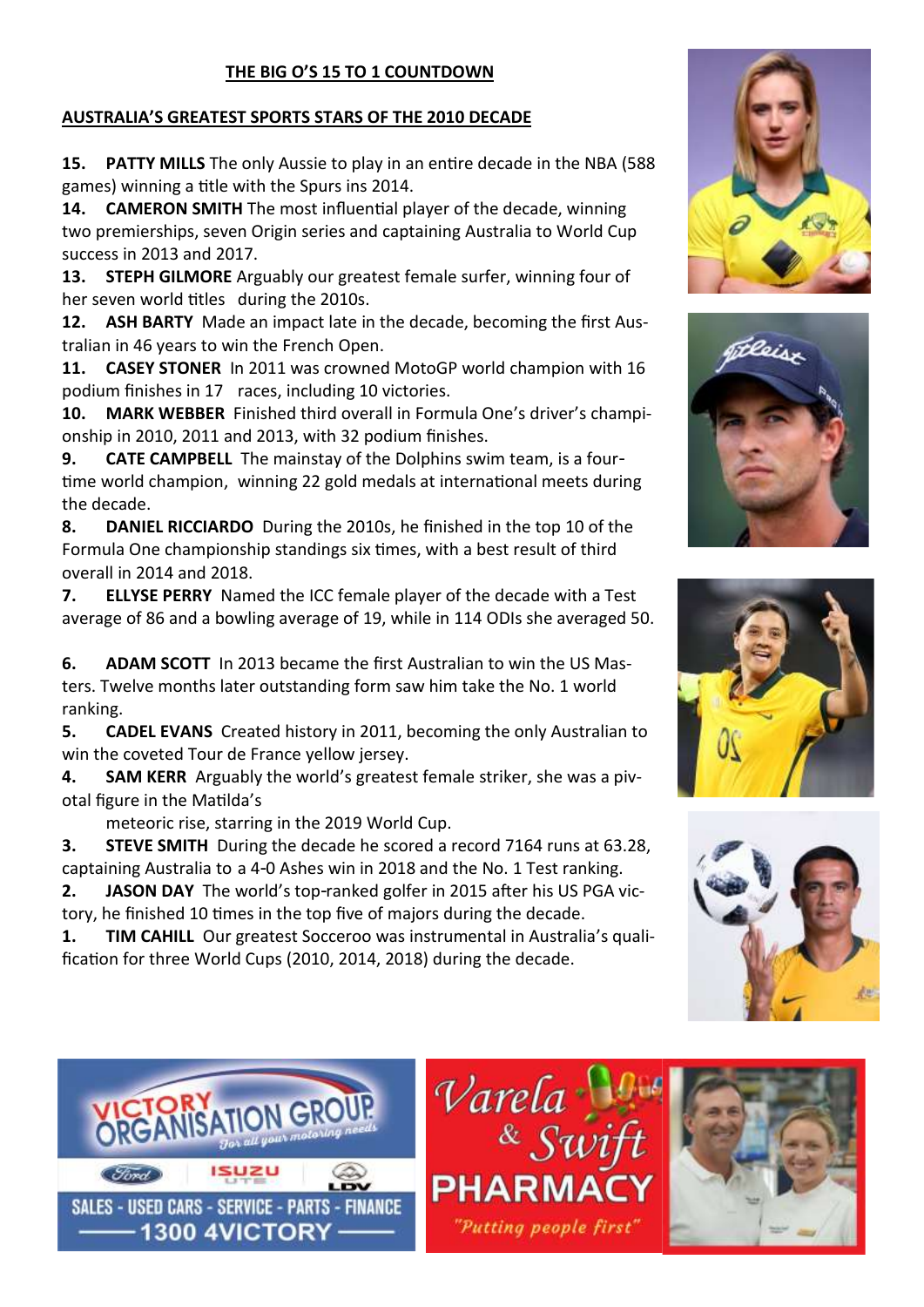#### **THE BIG O'S 15 TO 1 COUNTDOWN**

#### **AUSTRALIA'S GREATEST SPORTS STARS OF THE 2010 DECADE**

**15. PATTY MILLS** The only Aussie to play in an entire decade in the NBA (588 games) winning a title with the Spurs ins 2014.

**14. CAMERON SMITH** The most influential player of the decade, winning two premierships, seven Origin series and captaining Australia to World Cup success in 2013 and 2017.

**13. STEPH GILMORE** Arguably our greatest female surfer, winning four of her seven world titles during the 2010s.

**12. ASH BARTY** Made an impact late in the decade, becoming the first Australian in 46 years to win the French Open.

**11. CASEY STONER** In 2011 was crowned MotoGP world champion with 16 podium finishes in 17 races, including 10 victories.

**10. MARK WEBBER** Finished third overall in Formula One's driver's championship in 2010, 2011 and 2013, with 32 podium finishes.

**9. CATE CAMPBELL** The mainstay of the Dolphins swim team, is a fourtime world champion, winning 22 gold medals at international meets during the decade.

**8. DANIEL RICCIARDO** During the 2010s, he finished in the top 10 of the Formula One championship standings six times, with a best result of third overall in 2014 and 2018.

**7. ELLYSE PERRY** Named the ICC female player of the decade with a Test average of 86 and a bowling average of 19, while in 114 ODIs she averaged 50.

**6. ADAM SCOTT** In 2013 became the first Australian to win the US Masters. Twelve months later outstanding form saw him take the No. 1 world ranking.

**5. CADEL EVANS** Created history in 2011, becoming the only Australian to win the coveted Tour de France yellow jersey.

**4. SAM KERR** Arguably the world's greatest female striker, she was a pivotal figure in the Matilda's

meteoric rise, starring in the 2019 World Cup.

**3. STEVE SMITH** During the decade he scored a record 7164 runs at 63.28, captaining Australia to a 4-0 Ashes win in 2018 and the No. 1 Test ranking.

**2. JASON DAY** The world's top-ranked golfer in 2015 after his US PGA victory, he finished 10 times in the top five of majors during the decade.

**1. TIM CAHILL** Our greatest Socceroo was instrumental in Australia's qualification for three World Cups (2010, 2014, 2018) during the decade.











 $\mathcal V$ arela $\frac{1}{8}$ Sw **PHARMA** "Putting people first"

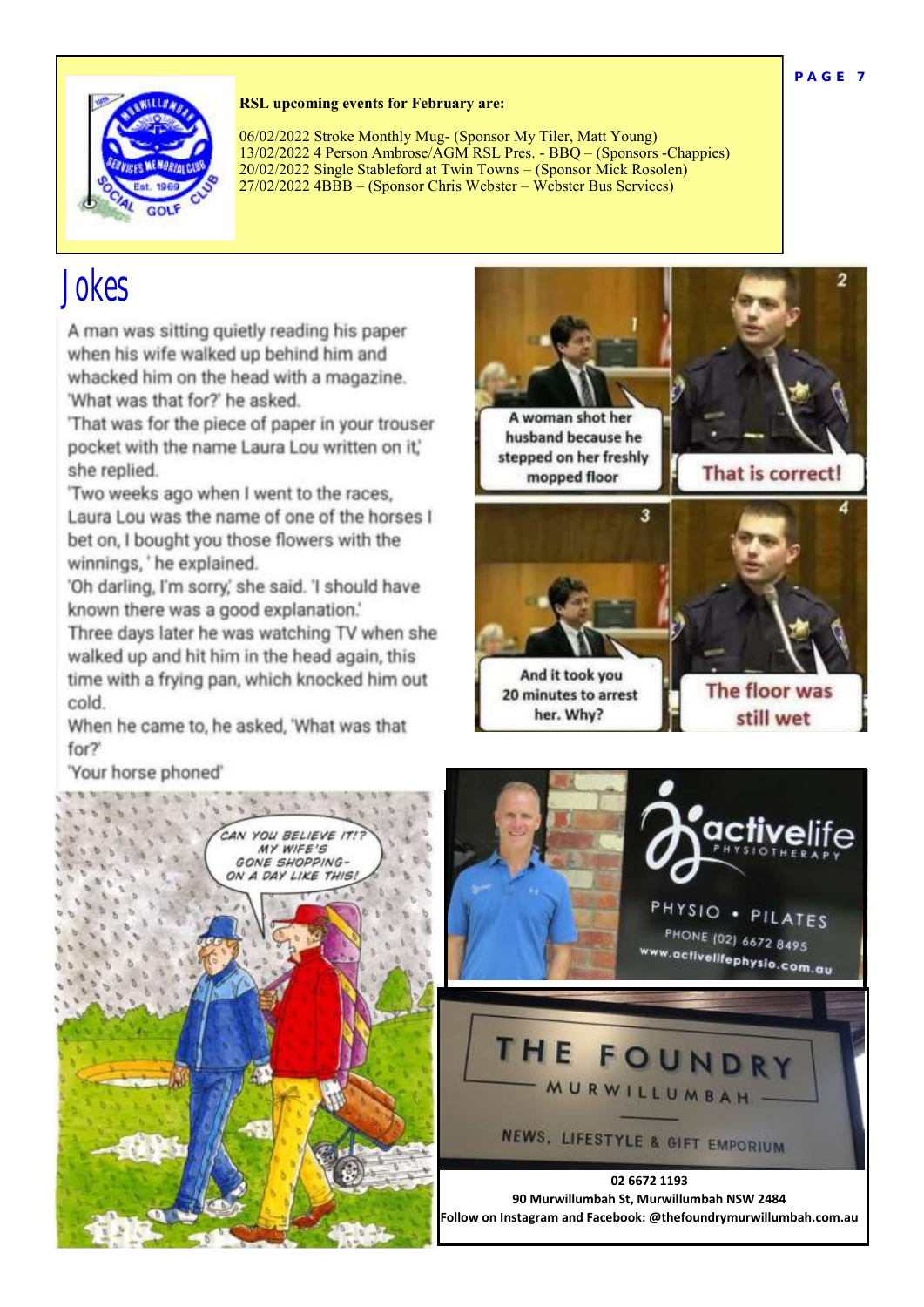

#### **RSL upcoming events for February are:**

06/02/2022 Stroke Monthly Mug- (Sponsor My Tiler, Matt Young) 13/02/2022 4 Person Ambrose/AGM RSL Pres. - BBQ – (Sponsors -Chappies) 20/02/2022 Single Stableford at Twin Towns – (Sponsor Mick Rosolen) 27/02/2022 4BBB – (Sponsor Chris Webster – Webster Bus Services)

## Jokes

A man was sitting quietly reading his paper when his wife walked up behind him and whacked him on the head with a magazine. 'What was that for?' he asked.

'That was for the piece of paper in your trouser pocket with the name Laura Lou written on it,' she replied.

'Two weeks ago when I went to the races, Laura Lou was the name of one of the horses I bet on. I bought you those flowers with the winnings, 'he explained.

'Oh darling, I'm sorry,' she said. 'I should have known there was a good explanation.'

Three days later he was watching TV when she walked up and hit him in the head again, this time with a frying pan, which knocked him out cold.

When he came to, he asked, 'What was that for?"

'Your horse phoned'







**Follow on Instagram and Facebook: @thefoundrymurwillumbah.com.au**